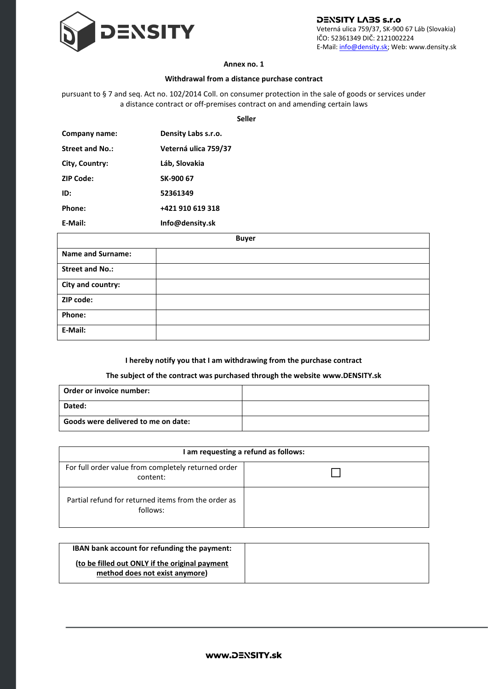

**DENSITY LABS s.r.o** Veterná ulica 759/37, SK-900 67 Láb (Slovakia) IČO: 52361349 DIČ: 2121002224 E-Mail[: info@density.sk;](mailto:info@density.sk) Web: www.density.sk

## **Annex no. 1**

## **Withdrawal from a distance purchase contract**

pursuant to § 7 and seq. Act no. 102/2014 Coll. on consumer protection in the sale of goods or services under a distance contract or off-premises contract on and amending certain laws

**Seller**

| Company name:    | Density Labs s.r.o.  |
|------------------|----------------------|
| Street and No.:  | Veterná ulica 759/37 |
| City, Country:   | Láb, Slovakia        |
| <b>ZIP Code:</b> | SK-900 67            |
| ID:              | 52361349             |
| Phone:           | +421 910 619 318     |
| E-Mail:          | Info@density.sk      |

|                          | <b>Buyer</b> |  |
|--------------------------|--------------|--|
| <b>Name and Surname:</b> |              |  |
| <b>Street and No.:</b>   |              |  |
| City and country:        |              |  |
| ZIP code:                |              |  |
| Phone:                   |              |  |
| E-Mail:                  |              |  |

## **I hereby notify you that I am withdrawing from the purchase contract**

## **The subject of the contract was purchased through the website www.DENSITY.sk**

| Order or invoice number:            |  |
|-------------------------------------|--|
| Dated:                              |  |
| Goods were delivered to me on date: |  |

| I am requesting a refund as follows:                            |  |
|-----------------------------------------------------------------|--|
| For full order value from completely returned order<br>content: |  |
| Partial refund for returned items from the order as<br>follows: |  |

| <b>IBAN</b> bank account for refunding the payment:                              |
|----------------------------------------------------------------------------------|
| (to be filled out ONLY if the original payment<br>method does not exist anymore) |